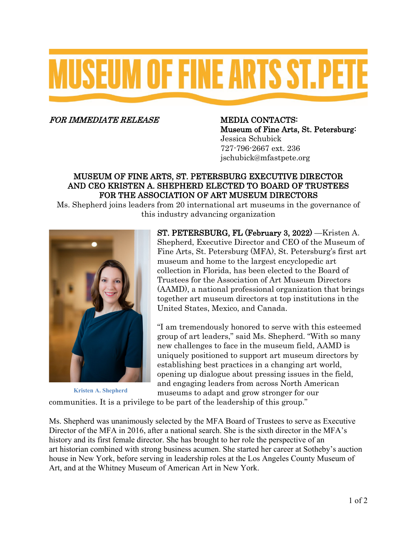# **MUSEUM OF FINE ARTS ST.PET**

FOR IMMEDIATE RELEASE MEDIA CONTACTS:

Museum of Fine Arts, St. Petersburg: Jessica Schubick 727-796-2667 ext. 236 jschubick@mfastpete.org

# MUSEUM OF FINE ARTS, ST. PETERSBURG EXECUTIVE DIRECTOR AND CEO KRISTEN A. SHEPHERD ELECTED TO BOARD OF TRUSTEES FOR THE ASSOCIATION OF ART MUSEUM DIRECTORS

Ms. Shepherd joins leaders from 20 international art museums in the governance of this industry advancing organization



**Kristen A. Shepherd**

ST. PETERSBURG, FL (February 3, 2022) —Kristen A. Shepherd, Executive Director and CEO of the Museum of Fine Arts, St. Petersburg (MFA), St. Petersburg's first art museum and home to the largest encyclopedic art collection in Florida, has been elected to the Board of Trustees for the Association of Art Museum Directors (AAMD), a national professional organization that brings together art museum directors at top institutions in the United States, Mexico, and Canada.

"I am tremendously honored to serve with this esteemed group of art leaders," said Ms. Shepherd. "With so many new challenges to face in the museum field, AAMD is uniquely positioned to support art museum directors by establishing best practices in a changing art world, opening up dialogue about pressing issues in the field, and engaging leaders from across North American museums to adapt and grow stronger for our

communities. It is a privilege to be part of the leadership of this group."

Ms. Shepherd was unanimously selected by the MFA Board of Trustees to serve as Executive Director of the MFA in 2016, after a national search. She is the sixth director in the MFA's history and its first female director. She has brought to her role the perspective of an art historian combined with strong business acumen. She started her career at Sotheby's auction house in New York, before serving in leadership roles at the Los Angeles County Museum of Art, and at the Whitney Museum of American Art in New York.